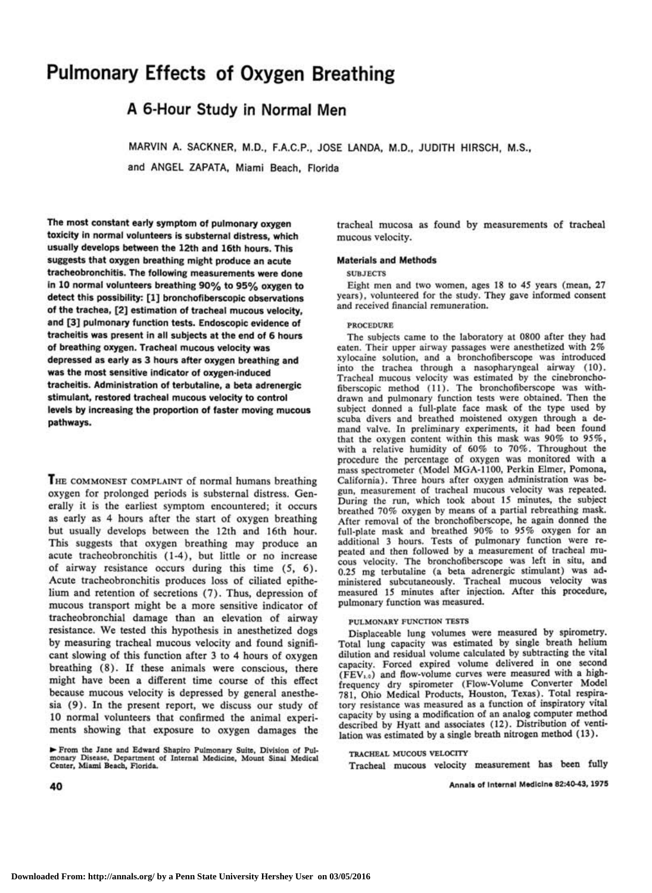# **Pulmonary Effects of Oxygen Breathing**

# **A 6-Hour Study in Normal Men**

**MARVIN A. SACKNER, M.D., F.A.C.P., JOSE LANDA, M.D., JUDITH HIRSCH, M.S., and ANGEL ZAPATA, Miami Beach, Florida** 

**The most constant early symptom of pulmonary oxygen toxicity in normal volunteers is substernal distress, which usually develops between the 12th and 16th hours. This suggests that oxygen breathing might produce an acute tracheobronchitis. The following measurements were done in 10 normal volunteers breathing 90 % to 95 % oxygen to detect this possibility: [1] bronchofiberscopic observations of the trachea, [2] estimation of tracheal mucous velocity, and [3] pulmonary function tests. Endoscopic evidence of tracheitis was present in all subjects at the end of 6 hours of breathing oxygen. Tracheal mucous velocity was depressed as early as 3 hours after oxygen breathing and was the most sensitive indicator of oxygen-induced tracheitis. Administration of terbutaline, a beta adrenergic stimulant, restored tracheal mucous velocity to control levels by increasing the proportion of faster moving mucous pathways.** 

THE COMMONEST COMPLAINT of normal humans breathing oxygen for prolonged periods is substernal distress. Generally it is the earliest symptom encountered; it occurs as early as 4 hours after the start of oxygen breathing but usually develops between the 12th and 16th hour. This suggests that oxygen breathing may produce an acute tracheobronchitis (1-4), but little or no increase of airway resistance occurs during this time (5, 6). Acute tracheobronchitis produces loss of ciliated epithelium and retention of secretions (7). Thus, depression of mucous transport might be a more sensitive indicator of tracheobronchial damage than an elevation of airway resistance. We tested this hypothesis in anesthetized dogs by measuring tracheal mucous velocity and found significant slowing of this function after 3 to 4 hours of oxygen breathing (8). If these animals were conscious, there might have been a different time course of this effect because mucous velocity is depressed by general anesthesia (9). In the present report, we discuss our study of 10 normal volunteers that confirmed the animal experiments showing that exposure to oxygen damages the

**• From the Jane and Edward Shapiro Pulmonary Suite, Division of Pulmonary Disease, Department of Internal Medicine, Mount Sinai Medical Center, Miami Beach, Florida.**  tracheal mucosa as found by measurements of tracheal mucous velocity.

#### **Materials and Methods**

#### **SUBJECTS**

Eight men and two women, ages 18 to 45 years (mean, 27 years), volunteered for the study. They gave informed consent and received financial remuneration.

#### PROCEDURE

The subjects came to the laboratory at 0800 after they had eaten. Their upper airway passages were anesthetized with 2% xylocaine solution, and a bronchofiberscope was introduced into the trachea through a nasopharyngeal airway (10). Tracheal mucous velocity was estimated by the cinebronchofiberscopic method (11). The bronchofiberscope was withdrawn and pulmonary function tests were obtained. Then the subject donned a full-plate face mask of the type used by scuba divers and breathed moistened oxygen through a demand valve. In preliminary experiments, it had been found that the oxygen content within this mask was 90% to 95%, with a relative humidity of 60% to 70%. Throughout the procedure the percentage of oxygen was monitored with a mass spectrometer (Model MGA-1100, Perkin Elmer, Pomona, California). Three hours after oxygen administration was begun, measurement of tracheal mucous velocity was repeated. During the run, which took about 15 minutes, the subject breathed 70% oxygen by means of a partial rebreathing mask. After removal of the bronchofiberscope, he again donned the full-plate mask and breathed 90% to 95% oxygen for an additional 3 hours. Tests of pulmonary function were repeated and then followed by a measurement of tracheal mucous velocity. The bronchofiberscope was left in situ, and 0.25 mg terbutaline (a beta adrenergic stimulant) was administered subcutaneously. Tracheal mucous velocity was measured 15 minutes after injection. After this procedure, pulmonary function was measured.

#### PULMONARY FUNCTION TESTS

Displaceable lung volumes were measured by spirometry. Total lung capacity was estimated by single breath helium dilution and residual volume calculated by subtracting the vital capacity. Forced expired volume delivered in one second (FEVi.o) and flow-volume curves were measured with a highfrequency dry spirometer (Flow-Volume Converter Model 781, Ohio Medical Products, Houston, Texas). Total respiratory resistance was measured as a function of inspiratory vital capacity by using a modification of an analog computer method described by Hyatt and associates (12). Distribution of ventilation was estimated by a single breath nitrogen method (13).

### TRACHEAL MUCOUS VELOCITY

Tracheal mucous velocity measurement has been fully

**40 Annals of Internal Medicine 82:40-43, 1975**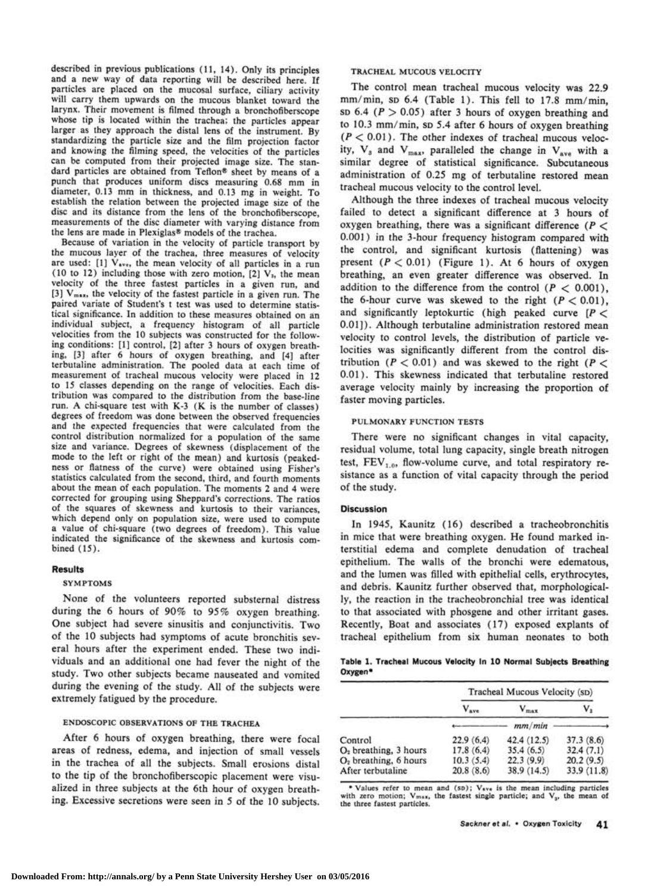described in previous publications (11, 14). Only its principles and a new way of data reporting will be described here. If particles are placed on the mucosal surface, ciliary activity will carry them upwards on the mucous blanket toward the larynx. Their movement is filmed through a bronchofiberscope whose tip is located within the trachea; the particles appear larger as they approach the distal lens of the instrument. By standardizing the particle size and the film projection factor and knowing the filming speed, the velocities of the particles can be computed from their projected image size. The standard particles are obtained from Teflon® sheet by means of a punch that produces uniform discs measuring 0.68 mm in diameter, 0.13 mm in thickness, and 0.13 mg in weight. To establish the relation between the projected image size of the disc and its distance from the lens of the bronchofiberscope, measurements of the disc diameter with varying distance from the lens are made in Plexiglas® models of the trachea.

Because of variation in the velocity of particle transport by the mucous layer of the trachea, three measures of velocity are used: [1]  $V_{ave}$ , the mean velocity of all particles in a run (10 to 12) including those with zero motion,  $[2]$  V<sub>3</sub>, the mean velocity of the three fastest particles in a given run, and [3] Vmax, the velocity of the fastest particle in a given run. The paired variate of Student's t test was used to determine statistical significance. In addition to these measures obtained on an individual subject, a frequency histogram of all particle velocities from the 10 subjects was constructed for the following conditions: [1] control, [2] after 3 hours of oxygen breathing, [3] after 6 hours of oxygen breathing, and [4] after terbutaline administration. The pooled data at each time of measurement of tracheal mucous velocity were placed in 12 to 15 classes depending on the range of velocities. Each distribution was compared to the distribution from the base-line run. A chi-square test with K-3 (K is the number of classes) degrees of freedom was done between the observed frequencies and the expected frequencies that were calculated from the control distribution normalized for a population of the same size and variance. Degrees of skewness (displacement of the mode to the left or right of the mean) and kurtosis (peakedness or flatness of the curve) were obtained using Fisher's statistics calculated from the second, third, and fourth moments about the mean of each population. The moments 2 and 4 were corrected for grouping using Sheppard's corrections. The ratios of the squares of skewness and kurtosis to their variances, which depend only on population size, were used to compute a value of chi-square (two degrees of freedom). This value indicated the significance of the skewness and kurtosis combined (15).

# **Results**

#### SYMPTOMS

None of the volunteers reported substernal distress during the 6 hours of 90% to 95% oxygen breathing. One subject had severe sinusitis and conjunctivitis. Two of the 10 subjects had symptoms of acute bronchitis several hours after the experiment ended. These two individuals and an additional one had fever the night of the study. Two other subjects became nauseated and vomited during the evening of the study. All of the subjects were extremely fatigued by the procedure.

#### ENDOSCOPIC OBSERVATIONS OF THE TRACHEA

After 6 hours of oxygen breathing, there were focal areas of redness, edema, and injection of small vessels in the trachea of all the subjects. Small erosions distal to the tip of the bronchofiberscopic placement were visualized in three subjects at the 6th hour of oxygen breathing. Excessive secretions were seen in 5 of the 10 subjects.

# TRACHEAL MUCOUS VELOCITY

The control mean tracheal mucous velocity was 22.9 mm/min, sp 6.4 (Table 1). This fell to 17.8 mm/min,  $SD 6.4$  ( $P > 0.05$ ) after 3 hours of oxygen breathing and to 10.3 mm/min, SD 5.4 after 6 hours of oxygen breathing  $(P < 0.01)$ . The other indexes of tracheal mucous velocity,  $V_3$  and  $V_{\text{max}}$ , paralleled the change in  $V_{\text{ave}}$  with a similar degree of statistical significance. Subcutaneous administration of 0.25 mg of terbutaline restored mean tracheal mucous velocity to the control level.

Although the three indexes of tracheal mucous velocity failed to detect a significant difference at 3 hours of oxygen breathing, there was a significant difference ( $P <$ 0.001) in the 3-hour frequency histogram compared with the control, and significant kurtosis (flattening) was present  $(P < 0.01)$  (Figure 1). At 6 hours of oxygen breathing, an even greater difference was observed. In addition to the difference from the control  $(P < 0.001)$ , the 6-hour curve was skewed to the right  $(P < 0.01)$ , and significantly leptokurtic (high peaked curve  $[P \leq$ 0.01]). Although terbutaline administration restored mean velocity to control levels, the distribution of particle velocities was significantly different from the control distribution ( $P < 0.01$ ) and was skewed to the right ( $P <$ 0.01). This skewness indicated that terbutaline restored average velocity mainly by increasing the proportion of faster moving particles.

# PULMONARY FUNCTION TESTS

There were no significant changes in vital capacity, residual volume, total lung capacity, single breath nitrogen test,  $FEV<sub>1.0</sub>$ , flow-volume curve, and total respiratory resistance as a function of vital capacity through the period of the study.

# **Discussion**

In 1945, Kaunitz (16) described a tracheobronchitis in mice that were breathing oxygen. He found marked interstitial edema and complete denudation of tracheal epithelium. The walls of the bronchi were edematous, and the lumen was filled with epithelial cells, erythrocytes, and debris. Kaunitz further observed that, morphologically, the reaction in the tracheobronchial tree was identical to that associated with phosgene and other irritant gases. Recently, Boat and associates (17) exposed explants of tracheal epithelium from six human neonates to both

**Table 1. Tracheal Mucous Velocity In 10 Normal Subjects Breathing Oxygen\*** 

|                         | Tracheal Mucous Velocity (sp) |             |             |
|-------------------------|-------------------------------|-------------|-------------|
|                         | $V_{ave}$                     | $V_{max}$   | v,          |
|                         |                               | mm/min      |             |
| Control                 | 22.9(6.4)                     | 42.4 (12.5) | 37.3(8.6)   |
| $O2$ breathing, 3 hours | 17.8(6.4)                     | 35.4(6.5)   | 32.4(7.1)   |
| $O2$ breathing, 6 hours | 10.3(5.4)                     | 22.3(9.9)   | 20.2(9.5)   |
| After terbutaline       | 20.8(8.6)                     | 38.9(14.5)  | 33.9 (11.8) |

\* Values refer to mean and (SD); V<sub>sve</sub> is the mean including particles with zero motion; V<sub>max</sub>, the fastest single particle; and V<sub>3</sub>, the mean of the three fastest particles.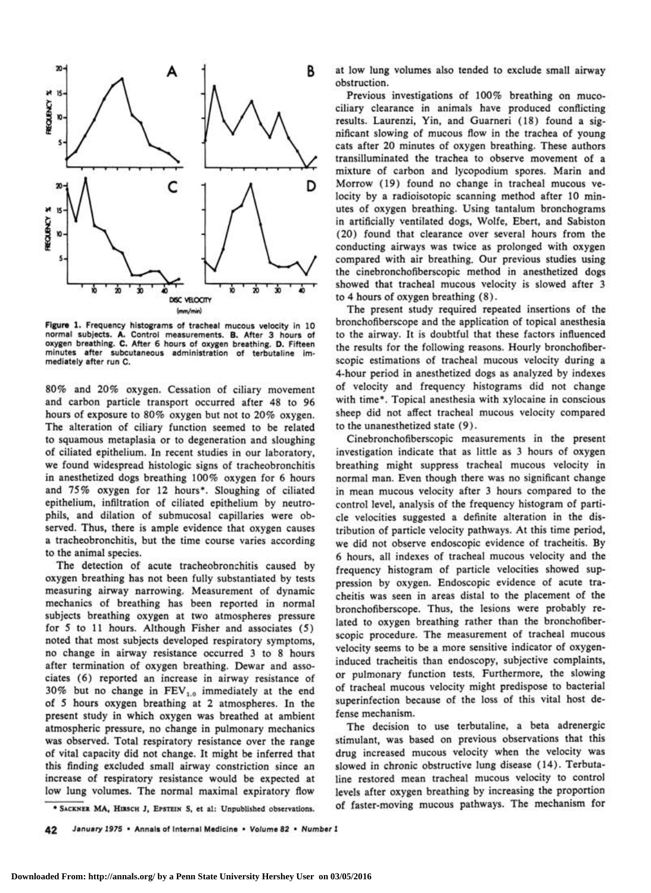

**Figure 1.** Frequency histograms of tracheal mucous velocity in 10 normal subjects. A. Control measurements. B. After 3 hours of oxygen breathing. C. After 6 hours of oxygen breathing. D. Fifteen minutes after subcutaneous administration of terbutaline immediately after run C.

80% and 20% oxygen. Cessation of ciliary movement and carbon particle transport occurred after 48 to 96 hours of exposure to 80% oxygen but not to 20% oxygen. The alteration of ciliary function seemed to be related to squamous metaplasia or to degeneration and sloughing of ciliated epithelium. In recent studies in our laboratory, we found widespread histologic signs of tracheobronchitis in anesthetized dogs breathing 100% oxygen for 6 hours and 75% oxygen for 12 hours\*. Sloughing of ciliated epithelium, infiltration of ciliated epithelium by neutrophils, and dilation of submucosal capillaries were observed. Thus, there is ample evidence that oxygen causes a tracheobronchitis, but the time course varies according to the animal species.

The detection of acute tracheobronchitis caused by oxygen breathing has not been fully substantiated by tests measuring airway narrowing. Measurement of dynamic mechanics of breathing has been reported in normal subjects breathing oxygen at two atmospheres pressure for 5 to 11 hours. Although Fisher and associates (5) noted that most subjects developed respiratory symptoms, no change in airway resistance occurred 3 to 8 hours after termination of oxygen breathing. Dewar and associates (6) reported an increase in airway resistance of 30% but no change in  $FEV_{1,0}$  immediately at the end of 5 hours oxygen breathing at 2 atmospheres. In the present study in which oxygen was breathed at ambient atmospheric pressure, no change in pulmonary mechanics was observed. Total respiratory resistance over the range of vital capacity did not change. It might be inferred that this finding excluded small airway constriction since an increase of respiratory resistance would be expected at low lung volumes. The normal maximal expiratory flow

at low lung volumes also tended to exclude small airway obstruction.

Previous investigations of 100% breathing on mucociliary clearance in animals have produced conflicting results. Laurenzi, Yin, and Guarneri (18) found a significant slowing of mucous flow in the trachea of young cats after 20 minutes of oxygen breathing. These authors transilluminated the trachea to observe movement of a mixture of carbon and lycopodium spores. Marin and Morrow (19) found no change in tracheal mucous velocity by a radioisotopic scanning method after 10 minutes of oxygen breathing. Using tantalum bronchograms in artificially ventilated dogs, Wolfe, Ebert, and Sabiston (20) found that clearance over several hours from the conducting airways was twice as prolonged with oxygen compared with air breathing. Our previous studies using the cinebronchofiberscopic method in anesthetized dogs showed that tracheal mucous velocity is slowed after 3 to 4 hours of oxygen breathing (8).

The present study required repeated insertions of the bronchofiberscope and the application of topical anesthesia to the airway. It is doubtful that these factors influenced the results for the following reasons. Hourly bronchofiberscopic estimations of tracheal mucous velocity during a 4-hour period in anesthetized dogs as analyzed by indexes of velocity and frequency histograms did not change with time\*. Topical anesthesia with xylocaine in conscious sheep did not affect tracheal mucous velocity compared to the unanesthetized state (9).

Cinebronchofiberscopic measurements in the present investigation indicate that as little as 3 hours of oxygen breathing might suppress tracheal mucous velocity in normal man. Even though there was no significant change in mean mucous velocity after 3 hours compared to the control level, analysis of the frequency histogram of particle velocities suggested a definite alteration in the distribution of particle velocity pathways. At this time period, we did not observe endoscopic evidence of tracheitis. By 6 hours, all indexes of tracheal mucous velocity and the frequency histogram of particle velocities showed suppression by oxygen. Endoscopic evidence of acute tracheitis was seen in areas distal to the placement of the bronchofiberscope. Thus, the lesions were probably related to oxygen breathing rather than the bronchofiberscopic procedure. The measurement of tracheal mucous velocity seems to be a more sensitive indicator of oxygeninduced tracheitis than endoscopy, subjective complaints, or pulmonary function tests. Furthermore, the slowing of tracheal mucous velocity might predispose to bacterial superinfection because of the loss of this vital host defense mechanism.

The decision to use terbutaline, a beta adrenergic stimulant, was based on previous observations that this drug increased mucous velocity when the velocity was slowed in chronic obstructive lung disease (14). Terbutaline restored mean tracheal mucous velocity to control levels after oxygen breathing by increasing the proportion of faster-moving mucous pathways. The mechanism for

**\* SACKNER MA, HIRSCH J, EPSTEIN S, et al: Unpublished observations.** 

42 January 1975 • Annals of Internal Medicine • Volume 82 • Number 1